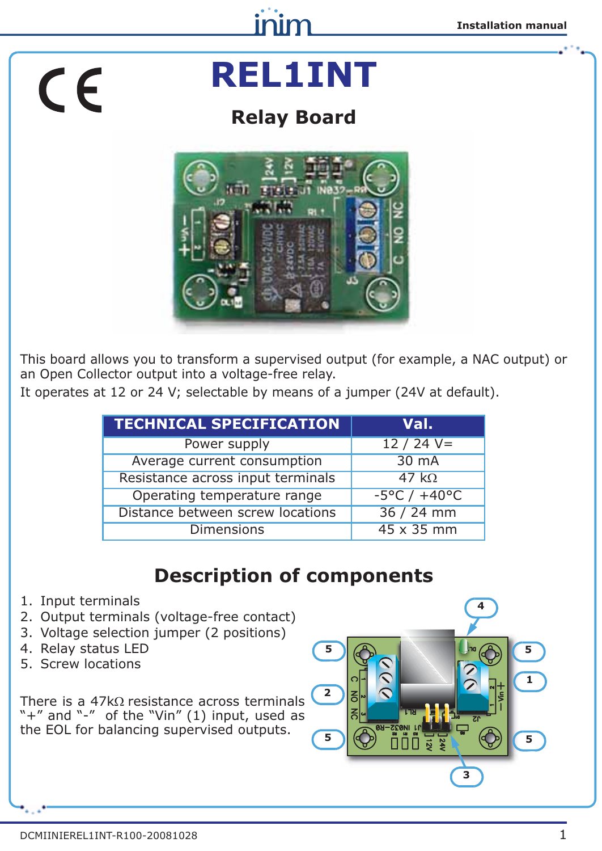# CE

## **REL1INT**

inim

### **Relay Board**



This board allows you to transform a supervised output (for example, a NAC output) or an Open Collector output into a voltage-free relay.

It operates at 12 or 24 V; selectable by means of a jumper (24V at default).

| <b>TECHNICAL SPECIFICATION</b>                   | Val.                             |
|--------------------------------------------------|----------------------------------|
| Power supply                                     | $12 / 24 V =$                    |
| Average current consumption                      | 30 mA                            |
| Resistance across input terminals                | 47 $k\Omega$                     |
| Operating temperature range                      | $-5^{\circ}$ C / $+40^{\circ}$ C |
| Distance between screw locations<br>$36 / 24$ mm |                                  |
| <b>Dimensions</b>                                | 45 x 35 mm                       |

### **Description of components**

- 1. Input terminals
- 2. Output terminals (voltage-free contact)
- 3. Voltage selection jumper (2 positions)
- 4. Relay status LED
- 5. Screw locations

There is a  $47k\Omega$  resistance across terminals "+" and "-" of the "Vin" (1) input, used as the EOL for balancing supervised outputs.